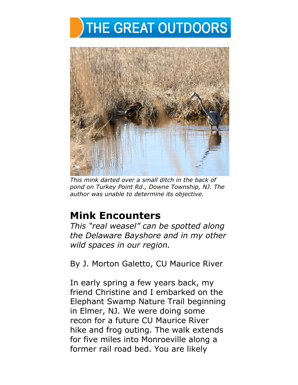



*This mink darted over a small ditch in the back of pond on Turkey Point Rd., Downe Township, NJ. The author was unable to determine its objective.* 

# **Mink Encounters**

*This "real weasel" can be spotted along the Delaware Bayshore and in my other wild spaces in our region.* 

By J. Morton Galetto, CU Maurice River

In early spring a few years back, my friend Christine and I embarked on the Elephant Swamp Nature Trail beginning in Elmer, NJ. We were doing some recon for a future CU Maurice River hike and frog outing. The walk extends for five miles into Monroeville along a former rail road bed. You are likely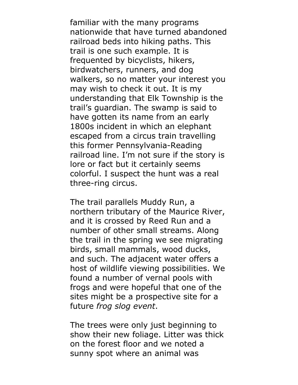familiar with the many programs nationwide that have turned abandoned railroad beds into hiking paths. This trail is one such example. It is frequented by bicyclists, hikers, birdwatchers, runners, and dog walkers, so no matter your interest you may wish to check it out. It is my understanding that Elk Township is the trail's guardian. The swamp is said to have gotten its name from an early 1800s incident in which an elephant escaped from a circus train travelling this former Pennsylvania-Reading railroad line. I'm not sure if the story is lore or fact but it certainly seems colorful. I suspect the hunt was a real three-ring circus.

The trail parallels Muddy Run, a northern tributary of the Maurice River, and it is crossed by Reed Run and a number of other small streams. Along the trail in the spring we see migrating birds, small mammals, wood ducks, and such. The adjacent water offers a host of wildlife viewing possibilities. We found a number of vernal pools with frogs and were hopeful that one of the sites might be a prospective site for a future *frog slog event*.

The trees were only just beginning to show their new foliage. Litter was thick on the forest floor and we noted a sunny spot where an animal was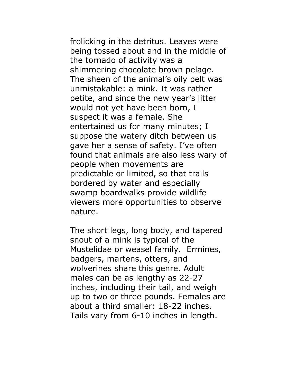frolicking in the detritus. Leaves were being tossed about and in the middle of the tornado of activity was a shimmering chocolate brown pelage. The sheen of the animal's oily pelt was unmistakable: a mink. It was rather petite, and since the new year's litter would not yet have been born, I suspect it was a female. She entertained us for many minutes; I suppose the watery ditch between us gave her a sense of safety. I've often found that animals are also less wary of people when movements are predictable or limited, so that trails bordered by water and especially swamp boardwalks provide wildlife viewers more opportunities to observe nature.

The short legs, long body, and tapered snout of a mink is typical of the Mustelidae or weasel family. Ermines, badgers, martens, otters, and wolverines share this genre. Adult males can be as lengthy as 22-27 inches, including their tail, and weigh up to two or three pounds. Females are about a third smaller: 18-22 inches. Tails vary from 6-10 inches in length.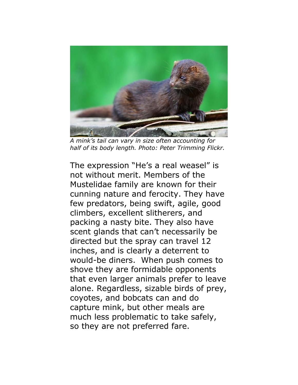

*A mink's tail can vary in size often accounting for half of its body length. Photo: Peter Trimming Flickr.*

The expression "He's a real weasel" is not without merit. Members of the Mustelidae family are known for their cunning nature and ferocity. They have few predators, being swift, agile, good climbers, excellent slitherers, and packing a nasty bite. They also have scent glands that can't necessarily be directed but the spray can travel 12 inches, and is clearly a deterrent to would-be diners. When push comes to shove they are formidable opponents that even larger animals prefer to leave alone. Regardless, sizable birds of prey, coyotes, and bobcats can and do capture mink, but other meals are much less problematic to take safely, so they are not preferred fare.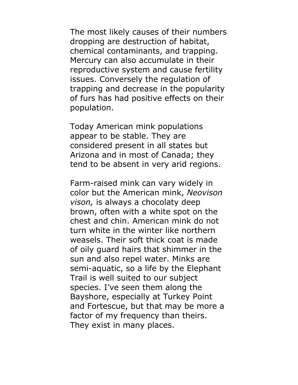The most likely causes of their numbers dropping are destruction of habitat, chemical contaminants, and trapping. Mercury can also accumulate in their reproductive system and cause fertility issues. Conversely the regulation of trapping and decrease in the popularity of furs has had positive effects on their population.

Today American mink populations appear to be stable. They are considered present in all states but Arizona and in most of Canada; they tend to be absent in very arid regions.

Farm-raised mink can vary widely in color but the American mink, *Neovison vison,* is always a chocolaty deep brown, often with a white spot on the chest and chin. American mink do not turn white in the winter like northern weasels. Their soft thick coat is made of oily guard hairs that shimmer in the sun and also repel water. Minks are semi-aquatic, so a life by the Elephant Trail is well suited to our subject species. I've seen them along the Bayshore, especially at Turkey Point and Fortescue, but that may be more a factor of my frequency than theirs. They exist in many places.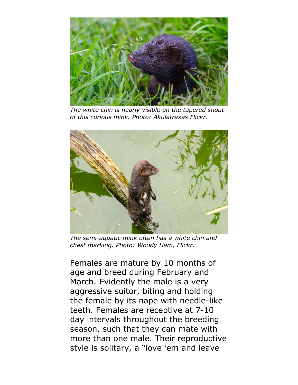

*The white chin is nearly visible on the tapered snout of this curious mink. Photo: Akulatraxas Flickr.*



*The semi-aquatic mink often has a white chin and chest marking. Photo: Woody Ham, Flickr.*

Females are mature by 10 months of age and breed during February and March. Evidently the male is a very aggressive suitor, biting and holding the female by its nape with needle-like teeth. Females are receptive at 7-10 day intervals throughout the breeding season, such that they can mate with more than one male. Their reproductive style is solitary, a "love 'em and leave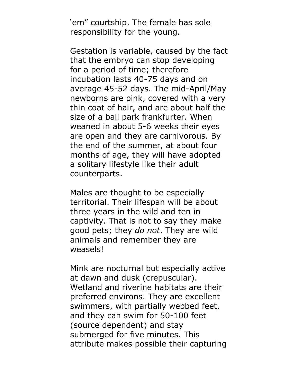'em" courtship. The female has sole responsibility for the young.

Gestation is variable, caused by the fact that the embryo can stop developing for a period of time; therefore incubation lasts 40-75 days and on average 45-52 days. The mid-April/May newborns are pink, covered with a very thin coat of hair, and are about half the size of a ball park frankfurter. When weaned in about 5-6 weeks their eyes are open and they are carnivorous. By the end of the summer, at about four months of age, they will have adopted a solitary lifestyle like their adult counterparts.

Males are thought to be especially territorial. Their lifespan will be about three years in the wild and ten in captivity. That is not to say they make good pets; they *do not*. They are wild animals and remember they are weasels!

Mink are nocturnal but especially active at dawn and dusk (crepuscular). Wetland and riverine habitats are their preferred environs. They are excellent swimmers, with partially webbed feet, and they can swim for 50-100 feet (source dependent) and stay submerged for five minutes. This attribute makes possible their capturing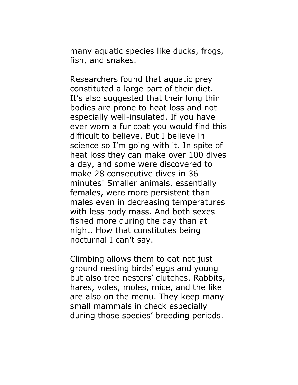many aquatic species like ducks, frogs, fish, and snakes.

Researchers found that aquatic prey constituted a large part of their diet. It's also suggested that their long thin bodies are prone to heat loss and not especially well-insulated. If you have ever worn a fur coat you would find this difficult to believe. But I believe in science so I'm going with it. In spite of heat loss they can make over 100 dives a day, and some were discovered to make 28 consecutive dives in 36 minutes! Smaller animals, essentially females, were more persistent than males even in decreasing temperatures with less body mass. And both sexes fished more during the day than at night. How that constitutes being nocturnal I can't say.

Climbing allows them to eat not just ground nesting birds' eggs and young but also tree nesters' clutches. Rabbits, hares, voles, moles, mice, and the like are also on the menu. They keep many small mammals in check especially during those species' breeding periods.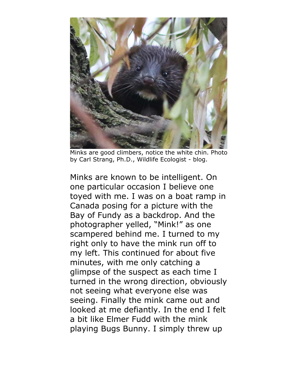

Minks are good climbers, notice the white chin. Photo by Carl Strang, Ph.D., Wildlife Ecologist - blog.

Minks are known to be intelligent. On one particular occasion I believe one toyed with me. I was on a boat ramp in Canada posing for a picture with the Bay of Fundy as a backdrop. And the photographer yelled, "Mink!" as one scampered behind me. I turned to my right only to have the mink run off to my left. This continued for about five minutes, with me only catching a glimpse of the suspect as each time I turned in the wrong direction, obviously not seeing what everyone else was seeing. Finally the mink came out and looked at me defiantly. In the end I felt a bit like Elmer Fudd with the mink playing Bugs Bunny. I simply threw up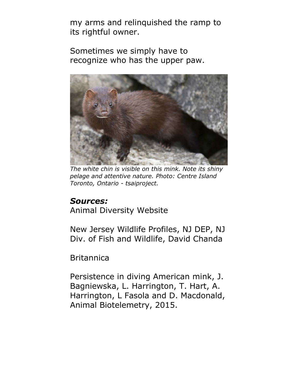my arms and relinquished the ramp to its rightful owner.

Sometimes we simply have to recognize who has the upper paw.



*The white chin is visible on this mink. Note its shiny pelage and attentive nature. Photo: Centre Island Toronto, Ontario - tsaiproject.* 

#### *Sources:*

Animal Diversity Website

New Jersey Wildlife Profiles, NJ DEP, NJ Div. of Fish and Wildlife, David Chanda

**Britannica** 

Persistence in diving American mink, J. Bagniewska, L. Harrington, T. Hart, A. Harrington, L Fasola and D. Macdonald, Animal Biotelemetry, 2015.